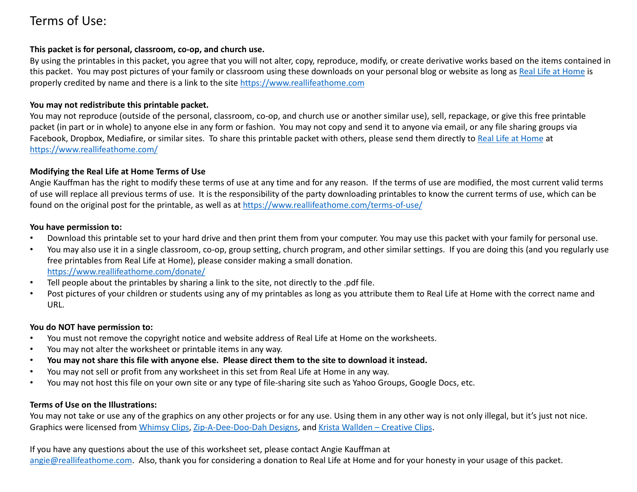# Terms of Use:

#### **This packet is for personal, classroom, co-op, and church use.**

By using the printables in this packet, you agree that you will not alter, copy, reproduce, modify, or create derivative works based on the items contained in this packet. You may post pictures of your family or classroom using these downloads on your personal blog or website as lon[g as Real Life at Ho](https://www.reallifeathome.com/)me is properly credited by name and there is a link to the [site https://www.reallifeathome.co](https://www.reallifeathome.com/)m

# **You may not redistribute this printable packet.**

You may not reproduce (outside of the personal, classroom, co-op, and church use or another similar use), sell, repackage, or give this free printable packet (in part or in whole) to anyone else in any form or fashion. You may not copy and send it to anyone via email, or any file sharing groups via Facebook, Dropbox, Mediafire, or similar sites. To share this printable packet with others, please send them directl[y to Real Life at Ho](https://www.reallifeathome.com/)me at [https://www.reallifeathome.co](https://www.reallifeathome.com/)m/

# **Modifying the Real Life at Home Terms of Use**

Angie Kauffman has the right to modify these terms of use at any time and for any reason. If the terms of use are modified, the most current valid terms of use will replace all previous terms of use. It is the responsibility of the party downloading printables to know the current terms of use, which can be found on the original post for the printable, as well a[s at https://www.reallifeathome.com/terms-of-u](https://www.reallifeathome.com/terms-of-use/)se/

### **You have permission to:**

- Download this printable set to your hard drive and then print them from your computer. You may use this packet with your family for personal use.
- You may also use it in a single classroom, co-op, group setting, church program, and other similar settings. If you are doing this (and you regularly use free printables from Real Life at Home), please consider making a small donation. [https://www.reallifeathome.com/dona](https://www.reallifeathome.com/donate/)te/
- Tell people about the printables by sharing a link to the site, not directly to the .pdf file.
- Post pictures of your children or students using any of my printables as long as you attribute them to Real Life at Home with the correct name and URL.

# **You do NOT have permission to:**

- You must not remove the copyright notice and website address of Real Life at Home on the worksheets.
- You may not alter the worksheet or printable items in any way.
- **You may not share this file with anyone else. Please direct them to the site to download it instead.**
- You may not sell or profit from any worksheet in this set from Real Life at Home in any way.
- You may not host this file on your own site or any type of file-sharing site such as Yahoo Groups, Google Docs, etc.

# **Terms of Use on the Illustrations:**

You may not take or use any of the graphics on any other projects or for any use. Using them in any other way is not only illegal, but it's just not nice. Graphics were licensed fr[om Whimsy Cl](https://www.teacherspayteachers.com/Store/Whimsy-Clips)i[ps, Zip-A-Dee-Doo-Dah Desig](https://www.teacherspayteachers.com/Store/Zip-a-dee-doo-dah-Designs)ns, [and Krista Wallden –](https://www.teacherspayteachers.com/Store/Krista-Wallden-Creative-Clips) Creative Clips.

If you have any questions about the use of this worksheet set, please contact Angie Kauffman at [angie@reallifeathome.co](mailto:angie@reallifeathome.com)m. Also, thank you for considering a donation to Real Life at Home and for your honesty in your usage of this packet.